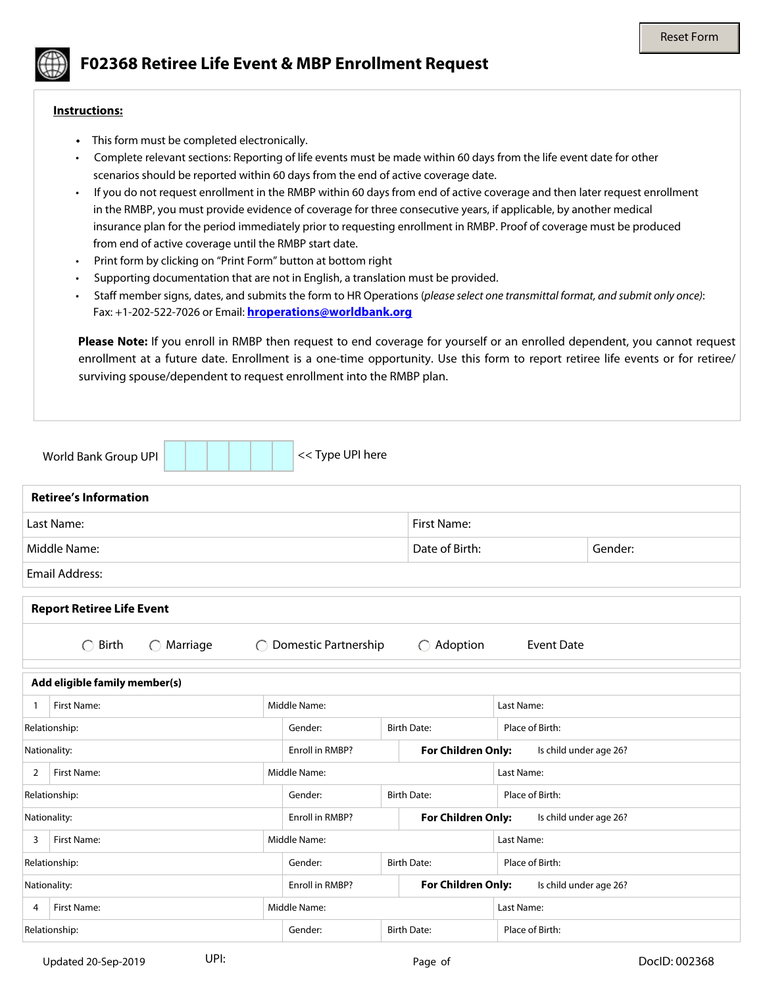

# **F02368 Retiree Life Event & MBP Enrollment Request**

#### **Instructions:**

- This form must be completed electronically.
- Complete relevant sections: Reporting of life events must be made within 60 days from the life event date for other scenarios should be reported within 60 days from the end of active coverage date.
- If you do not request enrollment in the RMBP within 60 days from end of active coverage and then later request enrollment in the RMBP, you must provide evidence of coverage for three consecutive years, if applicable, by another medical insurance plan for the period immediately prior to requesting enrollment in RMBP. Proof of coverage must be produced from end of active coverage until the RMBP start date.
- Print form by clicking on "Print Form" button at bottom right
- Supporting documentation that are not in English, a translation must be provided.
- Staff member signs, dates, and submits the form to HR Operations (*please select one transmittal format, and submit only once)*: Fax: +1-202-522-7026 or Email: **[hroperations@worldbank.org](mailto:hroperations@worldbank.org)**

**Please Note:** If you enroll in RMBP then request to end coverage for yourself or an enrolled dependent, you cannot request enrollment at a future date. Enrollment is a one-time opportunity. Use this form to report retiree life events or for retiree/ surviving spouse/dependent to request enrollment into the RMBP plan.

|                               | World Bank Group UPI                        | << Type UPI here                                            |                                                          |                                                |  |  |  |  |  |  |
|-------------------------------|---------------------------------------------|-------------------------------------------------------------|----------------------------------------------------------|------------------------------------------------|--|--|--|--|--|--|
|                               | <b>Retiree's Information</b>                |                                                             |                                                          |                                                |  |  |  |  |  |  |
|                               | Last Name:                                  |                                                             | First Name:                                              |                                                |  |  |  |  |  |  |
|                               | Middle Name:                                |                                                             | Date of Birth:                                           | Gender:<br>$\blacktriangledown$                |  |  |  |  |  |  |
| <b>Email Address:</b>         |                                             |                                                             |                                                          |                                                |  |  |  |  |  |  |
|                               | <b>Report Retiree Life Event</b>            |                                                             |                                                          |                                                |  |  |  |  |  |  |
|                               | Birth<br>Marriage<br>$\bigcap$<br>$\bigcap$ | ◯ Domestic Partnership                                      | $\bigcirc$ Adoption                                      | <b>Event Date</b>                              |  |  |  |  |  |  |
| Add eligible family member(s) |                                             |                                                             |                                                          |                                                |  |  |  |  |  |  |
| 1                             | First Name:                                 | Middle Name:                                                |                                                          | Last Name:                                     |  |  |  |  |  |  |
| Relationship:                 |                                             | Gender:<br>$\blacktriangledown$<br>$\overline{\phantom{a}}$ | <b>Birth Date:</b>                                       | Place of Birth:                                |  |  |  |  |  |  |
| Nationality:                  |                                             | Enroll in RMBP?                                             | For Children Only:<br>$\blacktriangledown$               | Is child under age 26?<br>$\blacktriangledown$ |  |  |  |  |  |  |
| 2                             | First Name:                                 | Middle Name:                                                |                                                          | Last Name:                                     |  |  |  |  |  |  |
| Relationship:                 |                                             | Gender:<br>$\blacktriangledown$                             | <b>Birth Date:</b>                                       | Place of Birth:                                |  |  |  |  |  |  |
| Nationality:                  |                                             | Enroll in RMBP?                                             | <b>For Children Only:</b><br>$\left  \mathbf{v} \right $ | Is child under age 26?<br>$\blacktriangledown$ |  |  |  |  |  |  |
| 3                             | First Name:                                 | Middle Name:                                                |                                                          | Last Name:                                     |  |  |  |  |  |  |
|                               | Relationship:                               | Gender:<br>$\blacktriangledown$                             | <b>Birth Date:</b>                                       | Place of Birth:                                |  |  |  |  |  |  |
| Nationality:                  |                                             | Enroll in RMBP?                                             | <b>For Children Only:</b><br>$\left  \mathbf{v} \right $ | Is child under age 26?                         |  |  |  |  |  |  |
| 4                             | First Name:                                 | Middle Name:                                                |                                                          | Last Name:                                     |  |  |  |  |  |  |
| Relationship:                 |                                             | Gender:<br>▼<br>▼                                           | <b>Birth Date:</b>                                       | Place of Birth:                                |  |  |  |  |  |  |